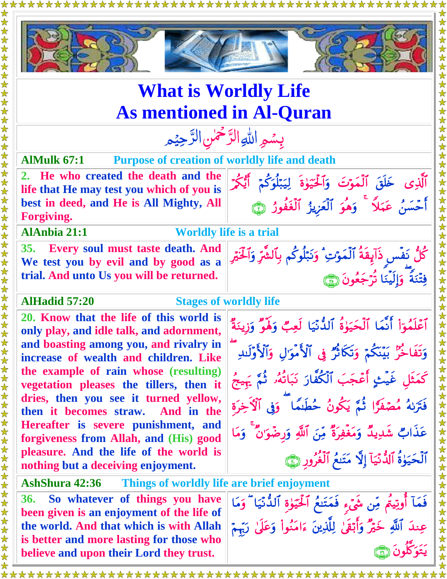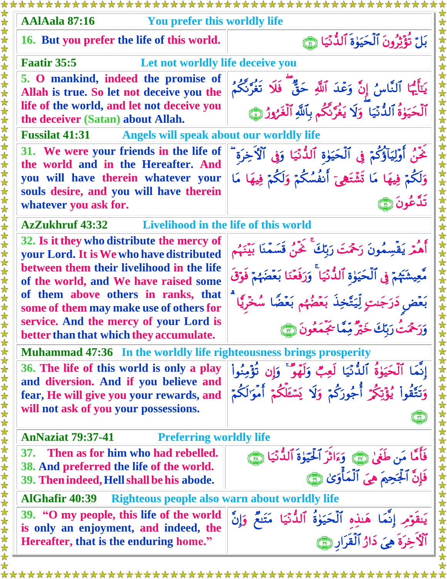| <b>AAlAala 87:16</b><br>You prefer this worldly life                                                                     |                                                                                                                 |  |
|--------------------------------------------------------------------------------------------------------------------------|-----------------------------------------------------------------------------------------------------------------|--|
| 16. But you prefer the life of this world.                                                                               | بَلْ نُؤَيْرُونَ ٱلْحَيَوٰةَ ٱلدُّنْيَا ۞                                                                       |  |
| <b>Faatir 35:5</b>                                                                                                       | Let not worldly life deceive you                                                                                |  |
| 5. O mankind, indeed the promise of<br>Allah is true. So let not deceive you the                                         | يَتَأَيُّهَا ٱلنَّاسُ إِنَّ وَعْدَ ٱللَّهِ حَقٌّ فَلَا تَغُرَّنَّكُمُ                                           |  |
| life of the world, and let not deceive you<br>the deceiver (Satan) about Allah.                                          | ٱلۡحَيَوٰةُ ٱلدُّنۡيَا ۗ وَلَا يَغُرَّنَّكُم بِٱللَّهِ ٱلۡغَرُوزُ ﴾                                             |  |
| <b>Fussilat 41:31</b><br>Angels will speak about our worldly life                                                        |                                                                                                                 |  |
| 31. We were your friends in the life of<br>the world and in the Hereafter. And                                           | خَنُ أَوۡلِيَآؤُكُمۡ فِى ٱلۡحَيَوٰةِ ٱلدُّنۡيَا وَفِى ٱلۡٱخِرَةِ ۖ                                              |  |
| you will have therein whatever your                                                                                      | وَلَكُمْ فِيهَا مَا تَشْتَهِيّ أَنفُسُكُمْ وَلَكُمْ فِيهَا مَا                                                  |  |
| souls desire, and you will have therein<br>whatever you ask for.                                                         | تَدَّعُونَ ۞                                                                                                    |  |
| <b>AzZukhruf 43:32</b>                                                                                                   | Livelihood in the life of this world                                                                            |  |
| 32. Is it they who distribute the mercy of<br>your Lord. It is We who have distributed                                   | أَهُمْ يَقْسِمُونَ رَحْمَتَ رَبِّكَ ۚ خَمْنُ قَسَمْنَا بَيْنَهُم                                                |  |
| between them their livelihood in the life<br>of the world, and We have raised some                                       | مَّعِيشَتَهُمْ فِي ٱلْحَيَوٰةِ ٱللُّذَيَا ۚ وَرَفَعَنَا بَعۡضَهُمۡ فَوَقَ                                       |  |
| of them above others in ranks, that<br>some of them may make use of others for<br>service. And the mercy of your Lord is | بَعۡضٖ دَرَجَىتٍ لِّيَتَّخِذَ بَعۡضُهُم بَعۡضًا سُخۡرِيَّا                                                      |  |
| better than that which they accumulate.                                                                                  | وَرَحْمَتُ رَبّكَ خَيْرٌ مِّمَّا يَجَمَعُونَ (٢٣                                                                |  |
| <b>Muhammad 47:36 In the worldly life righteousness brings prosperity</b>                                                |                                                                                                                 |  |
| 36. The life of this world is only a play<br>and diversion. And if you believe and                                       | إِنَّمَا ٱلْحَيَوٰةُ ٱلدُّنَّيَا لَعِبٌ وَلَهَوٌ ۚ وَإِن تُؤْمِنُواْ                                            |  |
| fear, He will give you your rewards, and<br>will not ask of you your possessions.                                        | وَتَتَّقُواْ يُؤَتِكُمْ أُجُورَكُمْ وَلَا يَسْئَلُكُمْ أَمْوَالِكُمْ                                            |  |
|                                                                                                                          |                                                                                                                 |  |
| 女女女女女女女女女女女女女女女女女女女女女女女女<br><b>AnNaziat 79:37-41</b><br><b>Preferring worldly life</b>                                   |                                                                                                                 |  |
| Then as for him who had rebelled.<br><b>37.</b><br>38. And preferred the life of the world.                              | فَأَمَّا مَن طَغَىٰ رَبَّ، وَءَاثَرَ ٱلْحَيَوٰةَ ٱلدُّنَّيَا رَبَّ،<br>فَإِنَّ ٱلْجَحِمَ هِىَ ٱلْمَأْوَىٰ رَبَّ |  |
| 39. Then indeed, Hell shall be his abode.                                                                                |                                                                                                                 |  |
| <b>AlGhafir 40:39</b><br>Righteous people also warn about worldly life                                                   |                                                                                                                 |  |
| 39. "O my people, this life of the world                                                                                 |                                                                                                                 |  |
| is only an enjoyment, and indeed, the<br>Hereafter, that is the enduring home."                                          | يَنقَوْمِ إِنَّمَا هَـٰذِهِ ٱلْحَيَوٰةُ ٱلدُّنْيَا مَتَنَعٌ وَإِنَّ<br>ٱلْأَخِرَةَ هِيَ دَارُ ٱلْقَرَارِ ۞      |  |
|                                                                                                                          |                                                                                                                 |  |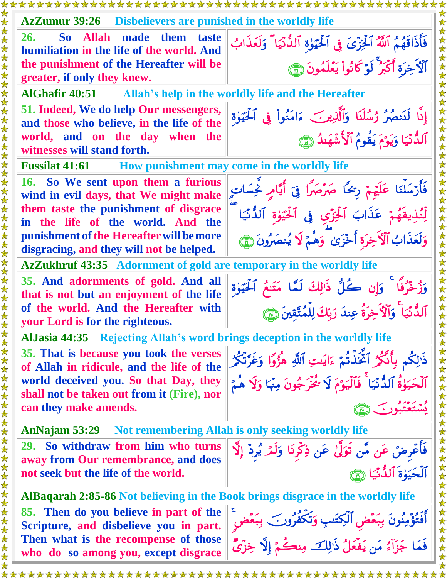| Disbelievers are punished in the worldly life                                        |                                                                                          |
|--------------------------------------------------------------------------------------|------------------------------------------------------------------------------------------|
| <b>AzZumur</b> 39:26                                                                 |                                                                                          |
| 26.<br>So Allah<br>made them<br>taste<br>humiliation in the life of the world. And   | فَأَذَاقَهُمُ ٱللَّهُ ٱلْخِزْىَ فِى ٱلْحَيَوٰةِ ٱلدُّنْيَا ۖ وَلَعَذَابُ                 |
| the punishment of the Hereafter will be<br>greater, if only they knew.               | ٱلْأَخِرَةِ أَكْبَرُ لَوْكَانُواْ يَعْلَمُونَ ۞                                          |
| <b>AlGhafir 40:51</b><br>Allah's help in the worldly life and the Hereafter          |                                                                                          |
| 51. Indeed, We do help Our messengers,<br>and those who believe, in the life of the  | إِنَّا لَنَنصُرُ رُسُلَنَا وَٱلَّذِينَ ءَامَنُواْ فِي ٱلْحَيَوٰةِ                        |
| world, and on the day when the<br>witnesses will stand forth.                        | ٱلدُّنۡيَا وَيَوۡمَ يَقُومُ ٱلۡأَشۡهَىٰذُ ۞                                              |
| <b>Fussilat 41:61</b> How punishment may come in the worldly life                    |                                                                                          |
| 16. So We sent upon them a furious<br>wind in evil days, that We might make          | فَأَرْسَلْنَا عَلَيْهِمْ رِجْحًا صَرْصَرًا فِيّ أَيَّامٍ نَحِسَاتٍ<br>女女女女女女             |
| them taste the punishment of disgrace<br>in the life of the world. And the           | لِّئُذِيقَهُمْ عَذَابَ ٱلْخِزْيِ فِى ٱلْحَيَوٰةِ ٱلدُّنَّيَا                             |
| punishment of the Hereafter will be more<br>disgracing, and they will not be helped. | وَلَعَذَابُ ٱلْأَخِرَةِ أَخْزَىٰ ۖ وَهُمْ لَا يُنصَرُونَ ١                               |
| <b>AzZukhruf 43:35</b> Adornment of gold are temporary in the worldly life           |                                                                                          |
| 35. And adornments of gold. And all<br>that is not but an enjoyment of the life      | وَزُخْرُفًا ۚ وَإِن كُلُّ ذَٰٰزِلكَ لَمَّا مَتَنعُ ٱلْحَيَوٰةِ<br>女女女女女                  |
| of the world. And the Hereafter with<br>your Lord is for the righteous.              | ٱلدُّنۡيَا ۚ وَٱلۡٱخِرَةُ عِندَ رَبِّكَ لِلۡمُتَّقِينَ ( ۗ                               |
| AlJasia 44:35 Rejecting Allah's word brings deception in the worldly life            |                                                                                          |
| 35. That is because you took the verses<br>of Allah in ridicule, and the life of the | ذَٰلِكُم بِأَنَّكُمُ ٱخَّذَتُمْ ءَايَتِ ٱللَّهِ هُزُوًا وَغَرَّتْكُمُ                    |
| world deceived you. So that Day, they<br>shall not be taken out from it (Fire), nor  | ٱلۡحَيَوٰةُ ٱلدُّنَّيَا ۚ فَٱلۡيَوۡمَ لَا شُخۡرَجُونَ مِنۡمَا وَلَا هُمۡمَ               |
| can they make amends.                                                                |                                                                                          |
| AnNajam 53:29                                                                        | Not remembering Allah is only seeking worldly life                                       |
| 29. So withdraw from him who turns<br>away from Our remembrance, and does            | فَأَعْرِضَ عَن مَّن تَوَلَّىٰ عَن ذِكْرِنَا وَلَمْ يُرِدْ إِلَّا                         |
| not seek but the life of the world.                                                  | ٱلْحَيَوٰةَ ٱلدُّنَّيَا (٢٦                                                              |
| AlBaqarah 2:85-86 Not believing in the Book brings disgrace in the worldly life      |                                                                                          |
| 85. Then do you believe in part of the<br>Scripture, and disbelieve you in part.     | 女女女女女女女女女女女女女女女女女女女女女女女女<br>أَفَتُؤْمِنُونَ بِبَعْضِ ٱلْكِتَدِ وَتَكَفَّرُونَ ۖ بِبَعْضٍ |
| Then what is the recompense of those<br>who do so among you, except disgrace         | فَمَا جَزَآءُ مَن يَفَعَلُ ذَٰٰزِلَكَ مِنكُمْ إِلَّا خِزْيٌّ                             |
|                                                                                      |                                                                                          |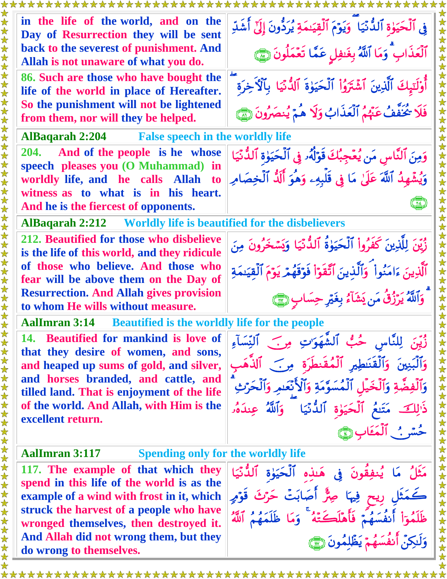| in the life of the world, and on the<br>Day of Resurrection they will be sent<br>back to the severest of punishment. And<br>Allah is not unaware of what you do. | فِي ٱلْحَيَوٰةِ ٱلدُّنَّيَا ۖ وَيَوۡمَ ٱلۡقِيَىٰمَةِ يُرَدُّونَ إِلَىٰٓ أَشَدِّ<br>ٱلۡعَذَابِ ۗ وَمَا ٱللَّهُ بِغَفِلِ عَمَّا تَعۡمَلُونَ (٢٦٢) |
|------------------------------------------------------------------------------------------------------------------------------------------------------------------|-------------------------------------------------------------------------------------------------------------------------------------------------|
| 86. Such are those who have bought the<br>life of the world in place of Hereafter.<br>So the punishment will not be lightened                                    | أُوْلَنَبِكَ ٱلَّذِينَ ٱشْتَرَوُاْ ٱلْحَيَوٰةَ ٱلدُّنْيَا بِٱلْأَخِرَةِ                                                                         |
| from them, nor will they be helped.                                                                                                                              | فَلَا يُحَفَّفُ عَنَّهُمُ ٱلْعَذَابُ وَلَا هُمْ يُنصَرُونَ (٢٣                                                                                  |
| <b>AlBaqarah 2:204</b> False speech in the worldly life                                                                                                          |                                                                                                                                                 |
| 204. And of the people is he whose<br>speech pleases you (O Muhammad) in                                                                                         | وَمِنَ ٱلنَّاسِ مَن يُعۡجِبُكَ قَوۡلَٰهُۥ فِي ٱلۡحَيَوٰةِ ٱلدُّنَّيَا                                                                           |
| worldly life, and he calls Allah to                                                                                                                              | وَيُشْهِدُ ٱللَّهَ عَلَىٰ مَا فِى قَلْبِهِۦ وَهُوَ أَلَدُّ ٱلْخِصَامِ                                                                           |
| witness as to what is in his heart.<br>And he is the fiercest of opponents.                                                                                      |                                                                                                                                                 |
| AlBaqarah 2:212 Worldly life is beautified for the disbelievers                                                                                                  |                                                                                                                                                 |
| 212. Beautified for those who disbelieve<br>is the life of this world, and they ridicule                                                                         | زُّيِّنَ لِلَّذِينَ كَفَرُواْ ٱلْحَيَوٰةُ ٱلذُّنْيَا وَيَسْخَرُونَ مِنَ                                                                         |
| of those who believe. And those who<br>fear will be above them on the Day of                                                                                     | ٱلَّذِينَ ءَامَنُواْ ۖ وَٱلَّذِينَ ٱتَّقَوَّا۟ فَوَقَهُمْ يَوْمَ ٱلۡقِيَنمَةِ                                                                   |
| <b>Resurrection. And Allah gives provision</b><br>to whom He wills without measure.                                                                              | وَٱللَّهُ يَرَزُقُ مَن يَشَآءُ بِغَيْرِ حِسَابٍ ١                                                                                               |
| <b>Beautified is the worldly life for the people</b><br><b>AalImran 3:14</b>                                                                                     |                                                                                                                                                 |
| 14. Beautified for mankind is love of<br>that they desire of women, and sons,                                                                                    | زُيِّنَ لِلنَّاسِ حُبُّ ٱلشَّهَوَّتِ مِنَ ٱلنِّسَآءِ                                                                                            |
| and heaped up sums of gold, and silver,                                                                                                                          | وَٱلۡبَنِينَ وَٱلۡقَنَطِيرِ ٱلۡمُقَنطَرَةِ مِن ۗ ٱلذَّهَد                                                                                       |
| and horses branded, and cattle, and<br>tilled land. That is enjoyment of the life                                                                                | وَٱلۡفِضَّةِ وَٱلۡخَیۡلِ ٱلۡمُسَوَّمَةِ وَٱلۡأَنۡعَـٰمِ وَٱلۡحَرۡتِۚ                                                                            |
| of the world. And Allah, with Him is the<br>excellent return.                                                                                                    | ذَٰالِكَ مَتَلَعُ ٱلْحَيَوٰةِ ٱلدُّنَّيَا ۖ وَٱللَّهُ عِندَهُ                                                                                   |
|                                                                                                                                                                  | حُسًى ٱلْمَعَابِ                                                                                                                                |
| <b>AalImran 3:117</b><br><b>Spending only for the worldly life</b>                                                                                               |                                                                                                                                                 |
| 117. The example of that which they                                                                                                                              | مَثَلُ مَا يُنفِقَونَ فِي هَنذِه ٱلْحَيَوٰةِ ٱلدُّنَّيَا                                                                                        |
| spend in this life of the world is as the                                                                                                                        |                                                                                                                                                 |
| example of a wind with frost in it, which<br>struck the harvest of a people who have                                                                             | كَمَثَلِ رِيحٍ فِيهَا صِرٌّ أَصَابَتْ حَرْثَ قَوْمٍ                                                                                             |
| wronged themselves, then destroyed it.                                                                                                                           | ظَلَمُوٓاْ أَنفُسَهُمۡ فَأَهْلَكَتَهُ ۚ وَمَا ظَلَمَهُمُ ٱللَّهُ                                                                                |
| And Allah did not wrong them, but they<br>do wrong to themselves.                                                                                                | وَلَدِكِنَّ أَنفُسَهُمْ يَظْلِمُونَ ١                                                                                                           |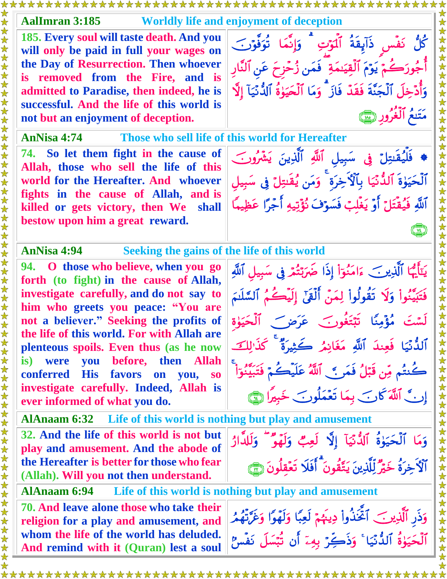| <b>AalImran 3:185</b><br><b>Worldly life and enjoyment of deception</b>                               |                                                                           |
|-------------------------------------------------------------------------------------------------------|---------------------------------------------------------------------------|
| 185. Every soul will taste death. And you<br>will only be paid in full your wages on                  | كُلُّ نَفۡسٍ ذَآبِقَةُ ٱلۡوَٰتِ ۗ وَإِنَّمَا نُوَفَّوۡتَ ۖ                |
| the Day of Resurrection. Then whoever<br>is removed from the Fire, and is                             | أُجُورَكُمْ يَوْمَ ٱلْقِيَىمَةِ ۖ فَمَن زُحْزِحَ عَنِ ٱلنَّارِ            |
| admitted to Paradise, then indeed, he is                                                              | وَأُدۡخِلَ ٱلۡجَنَّةَ فَقَدۡ فَازَ ۗ وَمَا ٱلۡحَيَوَٰةُ ٱلدُّنۡيَآ إِلَّا |
| successful. And the life of this world is<br>not but an enjoyment of deception.                       | مَتَنعُ ٱلْغُرُورِ رِيْبَيِّ                                              |
| AnNisa 4:74                                                                                           | Those who sell life of this world for Hereafter                           |
| 74. So let them fight in the cause of<br>Allah, those who sell the life of this                       | ♦ فَلَّيُقَنِتِلَ فِي سَبِيلِ ٱللَّهِ ٱلَّذِينَ يَشْرُونَ                 |
| world for the Hereafter. And whoever                                                                  | ٱلۡحَيَوٰةَ ٱلدُّنۡيَا بِٱلۡٱخِرَةِ ۚ وَمَن يُقَنِتِلَ فِى سَبِيلِ        |
| fights in the cause of Allah, and is<br>killed or gets victory, then We shall                         | ٱللَّهِ فَيُقْتَلَ أَوْ يَغْلِبْ فَسَوْفَ نُؤَتِيهِ أَجْرًا عَظِيمًا      |
| bestow upon him a great reward.                                                                       |                                                                           |
| AnNisa 4:94 Seeking the gains of the life of this world                                               |                                                                           |
| 94. O those who believe, when you go<br>forth (to fight) in the cause of Allah,                       | يَتَأَيُّهَا ٱلَّذِينَ ءَامَنُوٓاْ إِذَا ضَرَبَّتُمْ فِي سَبِيلِ ٱللَّهِ  |
| investigate carefully, and do not say to<br>him who greets you peace: "You are                        | فَتَبَيَّنُواْ وَلَا تَقُولُواْ لِمَنْ أَلْقَىٰٓ إِلَيْكُمُ ٱلسَّلَنَمَ   |
| not a believer." Seeking the profits of<br>the life of this world. For with Allah are                 | لَسْتَ مُؤْمِنًا تَبْتَغُونَ عَرَضَ ٱلْحَيَوٰة                            |
| plenteous spoils. Even thus (as he now                                                                | ٱلدُّنَيَا فَعِندَ ٱللَّهِ مَغَانِمُ كَثِيرَةٌ ۚ كَذَٰٰ لِكَ              |
| then Allah<br>before,<br>is) were<br>you<br><b>His</b><br>conferred<br>favors on<br>you,<br>$\bf{S0}$ | كُنتُم مِّن قَبَلُ فَمَرٍ ﴾ [اللَّهُ عَلَيْكُمْ فَتَبَيَّنُوٓا ۚ          |
| investigate carefully. Indeed, Allah is<br>ever informed of what you do.                              | إِنَّ ٱللَّهَ كَانَ بِمَا تَعْمَلُونَ خَبِيرًا ٢                          |
| AlAnaam 6:32 Life of this world is nothing but play and amusement                                     |                                                                           |
| 32. And the life of this world is not but<br>play and amusement. And the abode of                     | وَمَا ٱلْحَيَوٰةُ ٱلدُّنْيَآ إِلَّا لَعِبٌ وَلَهَوْ ۖ وَلَلدَّارُ         |
| the Hereafter is better for those who fear<br>(Allah). Will you not then understand.                  | ٱلۡٱ ۡخِرَةُ خَيۡرٌ لِّلَّذِينَ يَتَّقُونَ ۚ أَفَلَا تَعۡقلُونَ ۞         |
| <b>AlAnaam 6:94</b>                                                                                   | Life of this world is nothing but play and amusement                      |
| 70. And leave alone those who take their<br>religion for a play and amusement, and                    | وَذَرِ ٱلَّذِينَ ٱتَّخَذُواْ دِينَهُمْ لَعِبًا وَلَهْوًا وَغَرَّتْهُمُ    |
| whom the life of the world has deluded.<br>And remind with it (Quran) lest a soul                     | ٱلۡحَيَوٰةُ ٱللَّّنِّيَا ۚ وَذَكِّرۡ بِهِۦٓ أَن تُبۡسَلَ نَفۡسُ           |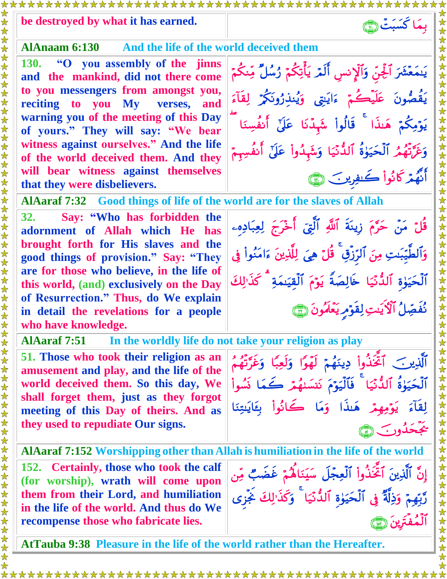## **be destroyed by what it has earned.**

## **AlAnaam 6:130 And the life of the world deceived them**

**130. "O you assembly of the jinns and the mankind, did not there come to you messengers from amongst you, reciting to you My verses, and warning you of the meeting of this Day of yours." They will say: "We bear witness against ourselves." And the life of the world deceived them. And they will bear witness against themselves that they were disbelievers.**

**يَنمَعْشَرَ آلجِنَّ وَٱلْإِنسِ ٱلْعَرَّ يَأْتِكُمْ رُسُلٌ مِّنكُمْ يَقْصُونَ عَلَيڪُمْ ءَايَنتِي وَيُنذِرُونَكُمْ لِقَاءَ**  وَغِرَّتْهُمُ ٱلْحَيَوٰةَ ٱلدَّنْيَا وَشَهْدُواْ عَلَيْ أَنفُسِهِمْ اَنْھُمْ کانُواْ ڪَنفِرينَ جَسَّيْ

قُلَّ مَنْ حَرَّمَ زِينَةَ ٱللَّهِ ٱلَّتِيَ ٱخْرَجَ لِعِبَادِهِۦ

وَٱلْطَيِّبَتِ مِنَ ٱلرِّزِقِ ۚ قُلَّ هِيَ لِلَّذِينَ ءَامَنُواْ فِي

ٱلْحَيَوٰةِ ٱلدُّنَّيَا ۖ خَالِصَةُ ۗ يَوۡمَ ٱلْقَيَنِمَةِ ۚ كَذَٰ ٰلِكَ

نُفَصِّلُ الْأَيَنِتِ لِقَوْمِرِ يَعْ*لَمُ*ونَ (٢)

بِ**مَا كَسَبَتْ هَيْ** 

**AlAaraf 7:32 Good things of life of the world are for the slaves of Allah**

**32. Say: "Who has forbidden the adornment of Allah which He has brought forth for His slaves and the good things of provision." Say: "They are for those who believe, in the life of this world, (and) exclusively on the Day of Resurrection." Thus, do We explain in detail the revelations for a people who have knowledge.**

**AlAaraf 7:51 In the worldly life do not take your religion as play** 

**51. Those who took their religion as an amusement and play, and the life of the world deceived them. So this day, We shall forget them, just as they forgot meeting of this Day of theirs. And as they used to repudiate Our signs.**

ٱلَّذِينَ ۖ ٱتَّخَذُواْ دِينَهُمْ لَهُوًا وَلَعِبًا وَغَرَّتَهُمُ ٱلْحَيَوٰةَ ٱلدُّنِّيَا ۖ فَٱلْيَوْمَ نَنْسَنَّهُمْ كُمَا نَسُواْ لِقَآءَ يَوۡمِهِمۡ هَـٰذَا وَمَا كَـٰانُواْ بِكَايَٰتِنَا يجحَدُو<u>ن هئ</u>

إِنَّ ٱلَّذِينَ ٱتَّخَذُواْ ٱلْعِجَّلَ سَيَنَاهُمْ غَضَبٌ مِّن

رَّبِّهِمْ وَذِلَةٌ فِي ٱلْحَيَوٰةِ ٱلدُّنِّيَا ۖ وَكُذَّٰ لِكَ نَجْزِي

المُفتَرِينَ ( ٢

大女女

**AlAaraf 7:152 Worshipping other than Allah is humiliation in the life of the world**

**152. Certainly, those who took the calf (for worship), wrath will come upon them from their Lord, and humiliation in the life of the world. And thus do We recompense those who fabricate lies.**

**AtTauba 9:38 Pleasure in the life of the world rather than the Hereafter.**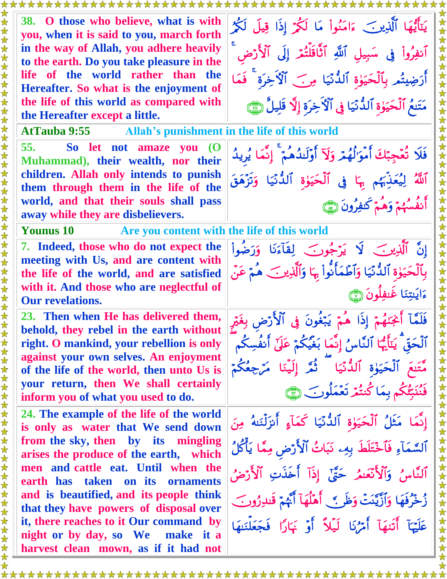| يَتَأَيُّهَا ٱلَّذِينَ ءَامَنُواْ مَا لَكُمْ إِذَا قِيلَ لَكُمْ<br>ٱنفِرُواْ فِي سَبِيلِ ٱللَّهِ ٱتَّاقَلَّتُمَّ إِلَى ٱلْأَرْض<br>女女<br>أَرَضِيتُم بِٱلْحَيَوٰةِ ٱلدُّنْيَا مِنَ ٱلْأَخِرَة <sup>ِ ۚ</sup> فَمَا<br>مَتَنعُ ٱلْحَيَوٰةِ ٱلدُّنّيَا فِى ٱلْأَخِرَةِ إِلَّا قَلِيلٌ هِمَي                                                                                                                                                                                                                                                                                                                                                                                                                                                                                                                                                                                                                                                                                                                                                                                                                                                                                                                                                                                                                |  |
|---------------------------------------------------------------------------------------------------------------------------------------------------------------------------------------------------------------------------------------------------------------------------------------------------------------------------------------------------------------------------------------------------------------------------------------------------------------------------------------------------------------------------------------------------------------------------------------------------------------------------------------------------------------------------------------------------------------------------------------------------------------------------------------------------------------------------------------------------------------------------------------------------------------------------------------------------------------------------------------------------------------------------------------------------------------------------------------------------------------------------------------------------------------------------------------------------------------------------------------------------------------------------------------------------------|--|
| <b>AtTauba 9:55</b> Allah's punishment in the life of this world                                                                                                                                                                                                                                                                                                                                                                                                                                                                                                                                                                                                                                                                                                                                                                                                                                                                                                                                                                                                                                                                                                                                                                                                                                        |  |
| فَلَا تُعۡجِبۡكَ أَمۡوَالُهُمۡ وَلَآ أَوۡلَٰكُمُمۡ ۚ إِنَّمَا يُرِيدُ<br>法安女<br>ٱللَّهُ لِيُعَذِّبَهُم بِهَا فِي ٱلْحَيَوٰةِ ٱلدُّنَّيَا وَتَزْهَقَ<br>法女女<br>أَنفُسُهُمْ وَهُمْ كَفِرُونَ ١                                                                                                                                                                                                                                                                                                                                                                                                                                                                                                                                                                                                                                                                                                                                                                                                                                                                                                                                                                                                                                                                                                            |  |
| away while they are disbelievers.<br>$\bigstar$<br>Are you content with the life of this world<br><b>Younus 10</b><br>$\bigstar$                                                                                                                                                                                                                                                                                                                                                                                                                                                                                                                                                                                                                                                                                                                                                                                                                                                                                                                                                                                                                                                                                                                                                                        |  |
| 女女女女女女女女女<br>إِنَّ ٱلَّذِينَ لَا يَرْجُونَ لِقَآءَنَا وَرَضُواْ<br>بِٱلۡحَيَوٰةِ ٱلدُّنۡيَا وَٱطۡمَأۡنُوا۟ ٕ ۖ وَٱلَّذِينَ ۖ هُمۡ عَنۡ<br>ءَايَتِنَا غَيفلُونَ                                                                                                                                                                                                                                                                                                                                                                                                                                                                                                                                                                                                                                                                                                                                                                                                                                                                                                                                                                                                                                                                                                                                          |  |
| فَلَمَّآ أَجْنَهُمْٓ إِذَا هُمْٓ يَبۡغُونَ فِى ٱلۡأَرۡضِ بِغَيۡمِ<br>ٱلۡحَقِّ ۚ يَتَأَيُّهَا ٱلنَّاسُ إِنَّمَا بَغَيۡكُمۡ عَلَىٰٓ أَنفُسِكُمْ<br>مَّتَنعَ ٱلۡحَيَوٰةِ ٱللَّٰٓئَيَا ۗ ثُمَّرَ إِلَيۡنَا ۚ مَرۡجِعُكُمۡ<br>فَنُنَبِّئُكُم بِمَا كُنتُمْ تَعْمَلُوبَ ١                                                                                                                                                                                                                                                                                                                                                                                                                                                                                                                                                                                                                                                                                                                                                                                                                                                                                                                                                                                                                                     |  |
| 《女女女女女女女女女女女女女女女女女女女女女女女女女女<br>إِنَّمَا ۖ مَثَلُ ٱلْحَيَوٰةِ ٱلدُّنۡيَا كَمَآءٍ أَنزَلۡنَـٰهُ ۚ مِنَ<br>ٱلسَّمَآءِ فَٱخْتَلَطَ بِهِۦ نَبَاتُ ٱلْأَرْضِ مِمَّا يَأْكُلُ<br>ٱلنَّاسُ وَٱلْأَنْعَسُ حَتَّىٰٓ إِذَآ أَخَذَتِ ٱلْأَرْضُ<br>زُخْرُفَهَا وَٱزَّيَّنَتْ وَظَنَّ ۚ أَهْلُهَآ أَيَّهُمْ قَلْاِرُونَ<br>that they have powers of disposal over<br>عَلَيْهَآ أَتَنهَآ أَمْرُنَا لَيۡلاً أَوۡ بَارًا فَجَعَلۡنَهَا                                                                                                                                                                                                                                                                                                                                                                                                                                                                                                                                                                                                                                                                                                                                                                                                                                                                                   |  |
| 38. O those who believe, what is with<br>you, when it is said to you, march forth<br>in the way of Allah, you adhere heavily<br>to the earth. Do you take pleasure in the<br>life of the world rather than the<br>Hereafter. So what is the enjoyment of<br>the life of this world as compared with<br>So let not amaze you (O<br>Muhammad), their wealth, nor their<br>children. Allah only intends to punish<br>them through them in the life of the<br>world, and that their souls shall pass<br>7. Indeed, those who do not expect the<br>meeting with Us, and are content with<br>the life of the world, and are satisfied<br>with it. And those who are neglectful of<br>23. Then when He has delivered them,<br>behold, they rebel in the earth without<br>right. O mankind, your rebellion is only<br>against your own selves. An enjoyment<br>of the life of the world, then unto Us is<br>your return, then We shall certainly<br>24. The example of the life of the world<br>is only as water that We send down<br>from the sky, then by its mingling<br>arises the produce of the earth, which<br>men and cattle eat. Until when the<br>ornaments<br>and is beautified, and its people think<br>it, there reaches to it Our command by<br>make it a<br>harvest clean mown, as if it had not |  |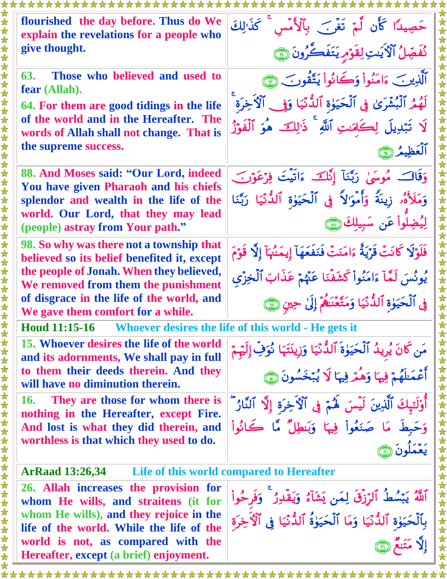| flourished the day before. Thus do We<br>explain the revelations for a people who<br>give thought.                             | حَصِيدًا كَأَن لَّمْ تَغْرَبَ بِٱلْأَمْسِ ۚ كَذَٰ لِكَ<br>نُفَصِّلُ ٱلْأَيَدِ لِقَوْمِ يَتَفَكَّرُونَ ٢                        |
|--------------------------------------------------------------------------------------------------------------------------------|--------------------------------------------------------------------------------------------------------------------------------|
| Those who believed and used to<br>63.<br>fear (Allah).                                                                         | ٱلَّذِينَ ءَامَنُواْ وَكَانُواْ يَتَّقُونَ ۞                                                                                   |
| 64. For them are good tidings in the life<br>of the world and in the Hereafter. The                                            | لَهُمُ ٱلْبُشْرَىٰ فِي ٱلْحَيَوٰةِ ٱلدُّنَيَا وَفِي ٱلْأَخِرَةِ<br>لَا تَبْدِيلَ لِكَلِّمَتِ ٱللَّهِ ۚ ذَٰالِكَ هُوَ ٱلْفَوْزُ |
| words of Allah shall not change. That is<br>the supreme success.                                                               |                                                                                                                                |
| 88. And Moses said: "Our Lord, indeed<br><b>You have given Pharaoh and his chiefs</b>                                          | وَقَالَتُ مُوسَىٰ رَبَّنَآ إِنَّكَ ءَاتَيۡتَ فِرۡعَوۡنَ ۖ                                                                      |
| splendor and wealth in the life of the<br>world. Our Lord, that they may lead                                                  | وَمَلَأَهُ ۚ زِينَةً وَأَمْوَ'لاً ۚ فِى ٱلۡحَيَوٰةِ ٱللَّٰٓئَيَا رَبَّنَا<br>لِيُضِلُواْ عَنِ سَبِيلِكَ                        |
| (people) astray from Your path."<br>98. So why was there not a township that                                                   | فَلَوْلَا كَانَتْ قَرْيَةٌ ءَامَنَتْ فَنَفَعَهَآ إِيمَنُهَآ إِلَّا قَوْمَ                                                      |
| believed so its belief benefited it, except<br>the people of Jonah. When they believed,<br>We removed from them the punishment | يُونُسَ لَمَّآ ءَامَنُوا۟ كَشَفْنَا عَنْهُمْ عَذَابَ ٱلۡخِزْى                                                                  |
| of disgrace in the life of the world, and<br>We gave them comfort for a while.                                                 | فِي ٱلْحَيَوٰةِ ٱلدُّنِّيَا وَمَتَّعْنَاهُمْ إِلَىٰ حِينِ ١                                                                    |
| Houd 11:15-16 Whoever desires the life of this world - He gets it                                                              |                                                                                                                                |
| 15. Whoever desires the life of the world<br>and its adornments, We shall pay in full                                          | مَن كَانَ يُرِيدُ ٱلْحَيَوٰةَ ٱلدُّنِّيَا وَزِينَتَهَا نُوَفِّ إِلَيْهِمْ                                                      |
| to them their deeds therein. And they<br>will have no diminution therein.                                                      | أَعْمَلَهُمْ فِيهَا وَهُمْ فِيهَا لَا يُبْخَسُونَ ٢                                                                            |
| They are those for whom there is<br><b>16.</b><br>nothing in the Hereafter, except Fire.                                       | أَوْلَتِهِكَ ٱلَّذِينَ لَيْسَ لَهُمْ فِي ٱلْأَخِرَةِ إِلَّا ٱلنَّارُ ۖ                                                         |
| And lost is what they did therein, and<br>worthless is that which they used to do.                                             | وَحَبِطَ مَا صَنَعُواْ فِيهَا وَبَنْطِلٌ مَّا كَانُواْ                                                                         |
| ArRaad 13:26,34 Life of this world compared to Hereafter                                                                       |                                                                                                                                |
| 26. Allah increases the provision for                                                                                          |                                                                                                                                |
| whom He wills, and straitens (it for                                                                                           | ٱللَّهُ يَبْسُطُ ٱلرِّزْقَ لِمَن يَشَآءُ وَيَقۡلِنُ ۚ وَفَرحُواْ                                                               |
| whom He wills), and they rejoice in the                                                                                        | بِٱلۡحَيَوٰةِ ٱلدُّنۡيَا وَمَا ٱلۡحَيَوٰةُ ٱلدُّنۡيَا فِى ٱلۡٱخِرَةِ                                                           |
| life of the world. While the life of the<br>world is not, as compared with the                                                 |                                                                                                                                |
| Hereafter, except (a brief) enjoyment.                                                                                         |                                                                                                                                |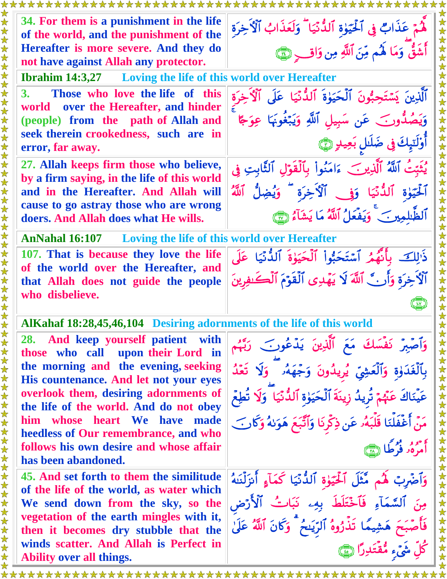**34. For them is a punishment in the life of the world, and the punishment of the Hereafter is more severe. And they do not have against Allah any protector.** هُمْ عَذَابٌ فِي أَلْحَيَوْةِ ٱلدُّنْيَا ۖ وَلَعَذَابُ ٱلْأَخِرَةِ أَشَقَّ وَمَا لَهُم مِّنَ اللَّهِ مِن وَاقِ لَهِ إِنَّ **Ibrahim 14:3,27 Loving the life of this world over Hereafter 3. Those who love the life of this world over the Hereafter, and hinder (people) from the path of Allah and seek therein crookedness, such are in error, far away.**  ٱلَّذِينَ يَسۡتَحِبُّونَ ٱلۡحَيَوٰةَ ٱللَّانِّيَا ۚ عَلَى ٱلۡاَّخِرَة وَيَصُدُّونَ ۖ عَنِ سَبِيلِ ٱللَّهِ وَيَبْغُونَهَا عِوَجًا أَوْلَتِيكَ فِي ضَلَالٍ بَعِيدِ (صَ **27. Allah keeps firm those who believe, by a firm saying, in the life of this world and in the Hereafter. And Allah will cause to go astray those who are wrong doers. And Allah does what He wills.** يُثْبِّتُ ٱللَّهُ ٱلَّذِينَ ۖ ءَامَنُواْ بِٱلْقَوْلِ ٱلثَّابِتِ فِي آلْحَيُّوٰة ٱلدُّنَّيَا وَوْ ﴾ الْأَخِرَة ۖ وَيُضِلُّ ٱللَّهُ أَلْطَبْلُمِينَ ۖ وَيَفْعَلُ أَلَلَّهُ مَا يَشَأْءُ الَّهَ ﴾ **AnNahal 16:107 Loving the life of this world over Hereafter 107. That is because they love the life of the world over the Hereafter, and that Allah does not guide the people who disbelieve.** ذَٰ لِكَ ۖ بِأَنهُمُ ٱسۡتَحَبُّوا۟ ٱلۡحَيَوٰةَ ٱلدُّنۡيَا ۚ عَلَى أَلَا خِرَةٍ وَأَرِ ۚ لَّاللَّهَ لَا يَهْدِى ٱلْقَوْمَ ٱلْكَـٰفِرِينَ  $\begin{pmatrix} 1 & 1 \\ 1 & 1 \end{pmatrix}$ **AlKahaf 18:28,45,46,104 Desiring adornments of the life of this world 28. And keep yourself patient with those who call upon their Lord in the morning and the evening, seeking His countenance. And let not your eyes overlook them, desiring adornments of the life of the world. And do not obey him whose heart We have made heedless of Our remembrance, and who follows his own desire and whose affair has been abandoned.**  وَأَصَّبِرُ نَفْسَكَ مَعَ ٱلَّذِينَ يَدَّعُونَ ۚ رَبَّهُم بِٱلْغَدَوٰةِ وَٱلْعَشِيِّ يُرِيدُونَ وَجِّهَهُۥ وَلَا تَعَدُّ عَينَاكَ عَنَّهُمْ تَرِيدُ زِينَةِ الْحَيَوٰةِ الْذُّنِّيَا ۖ وَلَا تَطِعُ مَنْ أَغْفَلْنَا قُلْبَهُۥ عَن ذِكْرِنَا وَأَتَّبَعَ هَوَلَهُ وَكَانَ ۖ أمرَهُ وَأَطَأَ لِيلَ **45. And set forth to them the similitude of the life of the world, as water which We send down from the sky, so the vegetation of the earth mingles with it, then it becomes dry stubble that the winds scatter. And Allah is Perfect in Ability over all things.** وَأَصَّرِبِّ لَهُم مَّثْلَ أَلْحَيَوْةِ ٱلدُّنِّيَا كَمَآءِ أَنزَلْنَلَهُ مِنَ ٱلسَّمَاءِ فَٱخْتَلَطَ بِهِۦ نَبَاتُ ٱلْأَرْضِ فَأَصَّبَحَ هَشِيمًا تَذْرُوهُ ٱلرِّيَنِحُ ۖ وَكَانَ ٱللَّهُ عَلَىٰ کُل شيء مُقتَدِرًا هُمَّا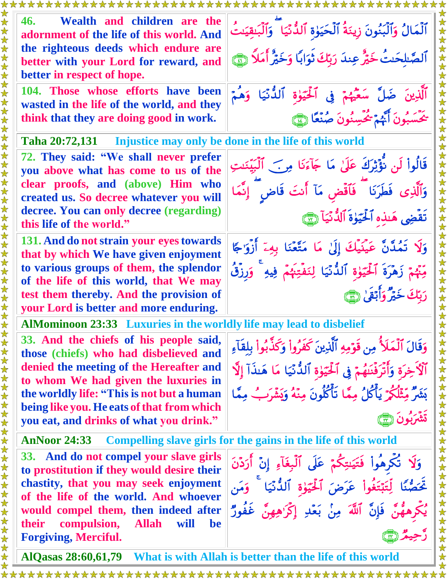| 46.<br>better in respect of hope.                                                     | Wealth and children are the<br>adornment of the life of this world. And<br>the righteous deeds which endure are<br>better with your Lord for reward, and                                                 | ٱلْمَالُ وَٱلۡبُنُونَ زِينَةُ ٱلۡحَيَوٰةِ ٱللَّٰئَيَا ۖ وَٱلۡبَـٰقِيَدتُ<br>ٱلصَّابِحَنُ خَيْرٌ عِندَ رَبِّكَ ثَوَابًا وَخَيْرٌ أَمَلاً ۞                               |
|---------------------------------------------------------------------------------------|----------------------------------------------------------------------------------------------------------------------------------------------------------------------------------------------------------|-------------------------------------------------------------------------------------------------------------------------------------------------------------------------|
| think that they are doing good in work.                                               | 104. Those whose efforts have been<br>wasted in the life of the world, and they                                                                                                                          | ٱلَّذِينَ ضَلَّ سَعَّيْهُمْ فِى ٱلْحَيَوٰةِ ٱلدُّنَّيَا وَهُمْ<br>يَحْسَبُونَ أَنَّهُمْ يُحْسِنُونَ صُنْعًا ١                                                           |
| Taha 20:72,131 Injustice may only be done in the life of this world                   |                                                                                                                                                                                                          |                                                                                                                                                                         |
|                                                                                       | 72. They said: "We shall never prefer<br>you above what has come to us of the<br>clear proofs, and (above) Him who<br>created us. So decree whatever you will<br>decree. You can only decree (regarding) | قَالُواْ لَن نُؤْثِرَكَ عَلَىٰ مَا جَآءَنَا مِنَ ٱلْبَيِّنَتِ<br>وَٱلَّذِى فَطَرَنَا ۖ فَٱقۡض مَآ أَنتَ قَاض ۖ إِنَّمَا<br>تَقَضِى هَنذِهِ ٱلْحَيَوٰةَ ٱلدُّنَيَآ لِسَّ |
| this life of the world."                                                              |                                                                                                                                                                                                          |                                                                                                                                                                         |
|                                                                                       | 131. And do not strain your eyes towards<br>that by which We have given enjoyment                                                                                                                        | وَلَا تَمُدَّنَّ عَيْنَيْكَ إِلَىٰ مَا مَتَّعْنَا بِهِۦٓ أَزْوَٰجًا                                                                                                     |
|                                                                                       | to various groups of them, the splendor                                                                                                                                                                  | مِّئْهُمْ زَهْرَةَ ٱلْحَيَوٰةِ ٱلدُّنْيَا لِنَفْتِنَهُمْ فِيهِ ۚ وَرِزْقُ                                                                                               |
|                                                                                       | of the life of this world, that We may                                                                                                                                                                   | دَبِّكَ خَيْرٌ وَأَبْقِيٰ هِمْ إِ                                                                                                                                       |
|                                                                                       | test them thereby. And the provision of                                                                                                                                                                  |                                                                                                                                                                         |
|                                                                                       | your Lord is better and more enduring.<br>AlMominoon 23:33 Luxuries in the worldly life may lead to disbelief                                                                                            |                                                                                                                                                                         |
|                                                                                       |                                                                                                                                                                                                          |                                                                                                                                                                         |
|                                                                                       | 33. And the chiefs of his people said,<br>those (chiefs) who had disbelieved and                                                                                                                         | وَقَالَ ٱلْمَلَأُ مِن قَوْمِهِ ٱلَّذِينَ كَفَرُواْ وَكَذَّبُواْ بِلِقَآءِ                                                                                               |
| 女女女女女女女女女                                                                             | denied the meeting of the Hereafter and<br>to whom We had given the luxuries in                                                                                                                          | ٱلْأَخِرَة وَأَتَرَفَنَهُمْ فِي ٱلْحَيَوٰةِ ٱلدُّنْيَا مَا هَنذَآ إِلَّا                                                                                                |
|                                                                                       | the worldly life: "This is not but a human                                                                                                                                                               | بَيْتُهُ مِّثْلُكُمْ يَأْكُلُ مِمَّا تَأْكُلُونَ مِنَّهُ وَيَشْرَبُ مِمَّا                                                                                              |
|                                                                                       | being like you. He eats of that from which<br>you eat, and drinks of what you drink."                                                                                                                    |                                                                                                                                                                         |
| <b>AnNoor 24:33</b><br>Compelling slave girls for the gains in the life of this world |                                                                                                                                                                                                          |                                                                                                                                                                         |
|                                                                                       | 33. And do not compel your slave girls<br>to prostitution if they would desire their                                                                                                                     | وَلَا تُكُرِهُواْ فَتَيَسِكُمْ عَلَى ٱلْبِغَآءِ إِنَّ أَرَدْنَ                                                                                                          |
|                                                                                       | chastity, that you may seek enjoyment<br>of the life of the world. And whoever                                                                                                                           | تَحَصُّنًا لِّتَبْتَغُواْ عَرَضَ ٱلْحَيَوٰةِ ٱلدُّنِّيَا ۚ وَمَن                                                                                                        |
| compulsion,<br>their                                                                  | would compel them, then indeed after<br><b>Allah</b><br>will<br>be                                                                                                                                       | يُكِّرِهِهُنَّ فَإِنَّ ٱللَّهَ مِنْ بَعْدِ إِكْرَاهِهِنَّ غَفُورٌ                                                                                                       |
| <b>Forgiving, Merciful.</b>                                                           |                                                                                                                                                                                                          |                                                                                                                                                                         |
| AlQasas 28:60,61,79<br>What is with Allah is better than the life of this world       |                                                                                                                                                                                                          |                                                                                                                                                                         |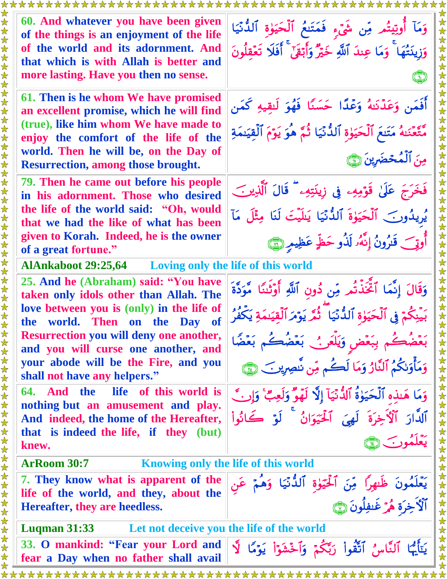| 60. And whatever you have been given                                                    |                                                                                                                                                        |
|-----------------------------------------------------------------------------------------|--------------------------------------------------------------------------------------------------------------------------------------------------------|
| of the things is an enjoyment of the life                                               | وَمَاۤ أُوتِيتُم مِّن شَىۡءِ ۖ فَمَتَنعُ ۗ اَلۡحَيَوٰةِ ۗ اَلَدُّنَيَا<br>وَزِينَتُهَا ۚ وَمَا عِندَ اَللَّهِ خَيْرٌ وَأَبۡقَىٰٓ ۚ أَفَلَا تَعۡقِلُونَ |
| of the world and its adornment. And<br>that which is with Allah is better and           |                                                                                                                                                        |
| more lasting. Have you then no sense.                                                   |                                                                                                                                                        |
| 61. Then is he whom We have promised<br>an excellent promise, which he will find        | أَفَمَن وَعَدْنَهُ وَعْدًا حَسَنًا فَهُوَ لَلقِيهِ كَمَن                                                                                               |
| (true), like him whom We have made to<br>enjoy the comfort of the life of the           | مَّتَّعۡنَـٰهُ مَتَنَعَ ٱلۡحَيَوٰةِ ٱلدُّنۡيَا ثُمَّ هُوَ يَوۡمَ ٱلۡقِيَنمَةِ                                                                          |
| world. Then he will be, on the Day of<br><b>Resurrection, among those brought.</b>      | مِنَ ٱلْمُحْضَرِينَ (٢٦                                                                                                                                |
| 79. Then he came out before his people<br>in his adornment. Those who desired           | فَخَرَجَ عَلَىٰ قَوْمِهِ ۖ فِى زِينَتِهِ ۚ قَالَ ٱلَّذِينَ                                                                                             |
| the life of the world said: "Oh, would<br>that we had the like of what has been         | يُرِيدُونَ ٱلْحَيَوٰةَ ٱلدُّنْيَا يَللَّيَتَ لَنَا مِثْلَ مَآ                                                                                          |
| given to Korah. Indeed, he is the owner<br>of a great fortune."                         | أُوتِي قَنُرُونُ إِنَّهُۥ لَذُو حَظٍّ عَظِيمٍ ۞                                                                                                        |
| <b>AlAnkaboot 29:25,64</b> Loving only the life of this world                           |                                                                                                                                                        |
| 25. And he (Abraham) said: "You have<br>taken only idols other than Allah. The          | وَقَالَ إِنَّمَا ٱتَّخَذَّتُم مِّن دُونِ ٱللَّهِ أُوۡثَنَاٗ مَّوَدَّةَ                                                                                 |
| love between you is (only) in the life of<br>the world. Then<br>on the Day of           | ِ مِنْكُمْ فِي ٱلْحَيَوٰةِ ٱلدُّنْيَا ۖ ثُمَّرَ يَوۡمَ ٱلۡقِيَىمَةِ يَكۡفُرُ                                                                           |
| <b>Resurrection you will deny one another,</b><br>and you will curse one another, and   | بَعْضُكُم بِبَعْضٍ وَيَلَعَنُ بَعْضُكُم بَعْضًا                                                                                                        |
| your abode will be the Fire, and you<br>shall not have any helpers."                    | وَمَأْوَلِكُمُ ٱلنَّارُ وَمَا لَكُم مِّن نَّصِرِينَ (٢٦                                                                                                |
| life of this world is<br>64. And the<br>nothing but an amusement and play.              | وَمَا هَنِدِهِ ٱلْحَيَوٰةُ ٱلدُّنْيَآ إِلَّا لَهَوٌّ وَلَعِبٌّ وَإِنَّ                                                                                 |
| And indeed, the home of the Hereafter,<br>that is indeed the life, if they (but)        | ٱلدَّارَ ٱلْأَخِرَةَ لَهِيَ ٱلْحَيَوَانُ ۚ لَوۡ كَانُواْ<br>تعَلَّمُونَ لِيْنَ                                                                         |
| knew.                                                                                   |                                                                                                                                                        |
| 女女女女女女女女女女女女女女女女女女女女女女女女女女<br><b>ArRoom 30:7</b><br>Knowing only the life of this world |                                                                                                                                                        |
| 7. They know what is apparent of the<br>life of the world, and they, about the          | يَعْلَمُونَ ظَنهِرًا مِّنَ ٱلْحَيَوٰةِ ٱلدُّنْيَا وَهُمْ                                                                                               |
| Hereafter, they are heedless.                                                           | .<br>اَلَّأَخِرَة هُرَ غَيْفِلُونَ ٢                                                                                                                   |
| <b>Luqman 31:33</b><br>Let not deceive you the life of the world                        |                                                                                                                                                        |
| 33. O mankind: "Fear your Lord and<br>fear a Day when no father shall avail             | يَتَأَيُّهَا ٱلنَّاسُ ٱتَّقُواْ رَبَّكُمْ وَٱخْشَوَاْ يَوْمًا<br>$\sum_{i=1}^{n}$                                                                      |